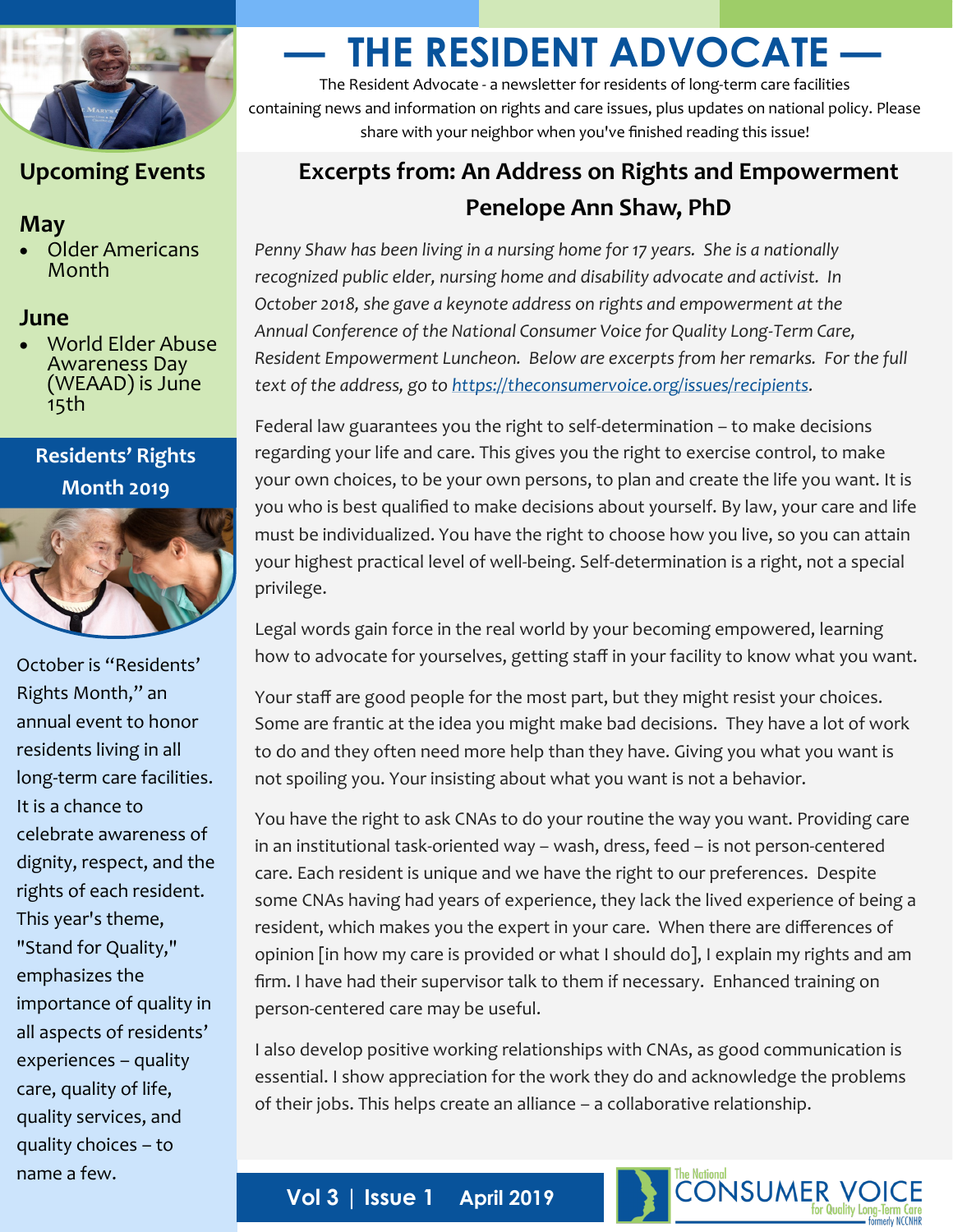

## **Upcoming Events**

#### **May**

• Older Americans Month

#### **June**

• World Elder Abuse Awareness Day (WEAAD) is June 15th

### **Residents' Rights Month 2019**



October is "Residents' Rights Month," an annual event to honor residents living in all long-term care facilities. It is a chance to celebrate awareness of dignity, respect, and the rights of each resident. This year's theme, "Stand for Quality," emphasizes the importance of quality in all aspects of residents' experiences – quality care, quality of life, quality services, and quality choices – to name a few.

# **— THE RESIDENT ADVOCATE —**

The Resident Advocate - a newsletter for residents of long-term care facilities containing news and information on rights and care issues, plus updates on national policy. Please share with your neighbor when you've finished reading this issue!

# **Excerpts from: An Address on Rights and Empowerment Penelope Ann Shaw, PhD**

*Penny Shaw has been living in a nursing home for 17 years. She is a nationally recognized public elder, nursing home and disability advocate and activist. In October 2018, she gave a keynote address on rights and empowerment at the Annual Conference of the National Consumer Voice for Quality Long-Term Care, Resident Empowerment Luncheon. Below are excerpts from her remarks. For the full text of the address, go to [https://theconsumervoice.org/issues/recipients.](https://theconsumervoice.org/issues/recipients)* 

Federal law guarantees you the right to self-determination – to make decisions regarding your life and care. This gives you the right to exercise control, to make your own choices, to be your own persons, to plan and create the life you want. It is you who is best qualified to make decisions about yourself. By law, your care and life must be individualized. You have the right to choose how you live, so you can attain your highest practical level of well-being. Self-determination is a right, not a special privilege.

Legal words gain force in the real world by your becoming empowered, learning how to advocate for yourselves, getting staff in your facility to know what you want.

Your staff are good people for the most part, but they might resist your choices. Some are frantic at the idea you might make bad decisions. They have a lot of work to do and they often need more help than they have. Giving you what you want is not spoiling you. Your insisting about what you want is not a behavior.

You have the right to ask CNAs to do your routine the way you want. Providing care in an institutional task-oriented way – wash, dress, feed – is not person-centered care. Each resident is unique and we have the right to our preferences. Despite some CNAs having had years of experience, they lack the lived experience of being a resident, which makes you the expert in your care. When there are differences of opinion [in how my care is provided or what I should do], I explain my rights and am firm. I have had their supervisor talk to them if necessary. Enhanced training on person-centered care may be useful.

I also develop positive working relationships with CNAs, as good communication is essential. I show appreciation for the work they do and acknowledge the problems of their jobs. This helps create an alliance – a collaborative relationship.

**CONSUMER VC**